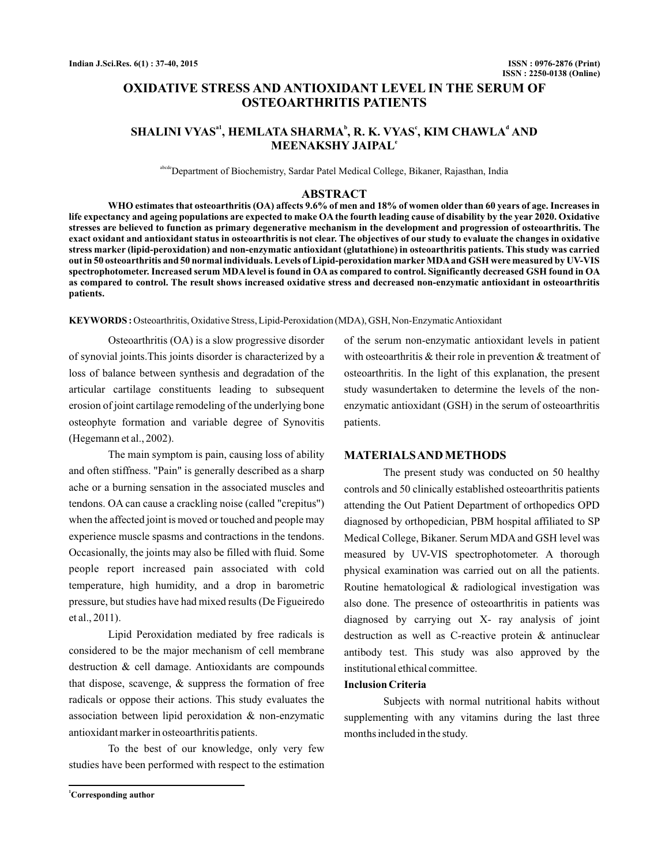# **OXIDATIVE STRESS AND ANTIOXIDANT LEVEL IN THE SERUM OF OSTEOARTHRITIS PATIENTS**

## $\mathbf{SHALINI}\ \mathbf{VYAS}^\mathbf{a1}, \ \mathbf{HEMLATA}\ \mathbf{SHARMA}^\mathbf{b}, \ \mathbf{R}\ \mathbf{.}\ \mathbf{VYAS}^\mathbf{c}, \ \mathbf{KIM}\ \mathbf{CHAWLA}^\mathbf{d}\ \mathbf{AND}$ **MEENAKSHY JAIPAL e**

abcde<sup>D</sup>epartment of Biochemistry, Sardar Patel Medical College, Bikaner, Rajasthan, India

#### **ABSTRACT**

**WHO estimates that osteoarthritis (OA) affects 9.6% of men and 18% of women older than 60 years of age. Increases in life expectancy and ageing populations are expected to make OA the fourth leading cause of disability by the year 2020. Oxidative stresses are believed to function as primary degenerative mechanism in the development and progression of osteoarthritis. The exact oxidant and antioxidant status in osteoarthritis is not clear. The objectives of our study to evaluate the changes in oxidative stress marker (lipid-peroxidation) and non-enzymatic antioxidant (glutathione) in osteoarthritis patients. This study was carried out in 50 osteoarthritis and 50 normal individuals. Levels of Lipid-peroxidation marker MDAand GSH were measured by UV-VIS spectrophotometer. Increased serum MDA level is found in OA as compared to control. Significantly decreased GSH found in OA as compared to control. The result shows increased oxidative stress and decreased non-enzymatic antioxidant in osteoarthritis patients.**

KEYWORDS: Osteoarthritis, Oxidative Stress, Lipid-Peroxidation (MDA), GSH, Non-Enzymatic Antioxidant

Osteoarthritis (OA) is a slow progressive disorder of synovial joints.This joints disorder is characterized by a loss of balance between synthesis and degradation of the articular cartilage constituents leading to subsequent erosion of joint cartilage remodeling of the underlying bone osteophyte formation and variable degree of Synovitis (Hegemann et al., 2002).

The main symptom is pain, causing loss of ability and often stiffness. "Pain" is generally described as a sharp ache or a burning sensation in the associated muscles and tendons. OA can cause a crackling noise (called "crepitus") when the affected joint is moved or touched and people may experience muscle spasms and contractions in the tendons. Occasionally, the joints may also be filled with fluid. Some people report increased pain associated with cold temperature, high humidity, and a drop in barometric pressure, but studies have had mixed results (De Figueiredo et al., 2011).

Lipid Peroxidation mediated by free radicals is considered to be the major mechanism of cell membrane destruction & cell damage. Antioxidants are compounds that dispose, scavenge, & suppress the formation of free radicals or oppose their actions. This study evaluates the association between lipid peroxidation & non-enzymatic antioxidant marker in osteoarthritis patients.

To the best of our knowledge, only very few studies have been performed with respect to the estimation

of the serum non-enzymatic antioxidant levels in patient with osteoarthritis & their role in prevention & treatment of osteoarthritis. In the light of this explanation, the present study wasundertaken to determine the levels of the nonenzymatic antioxidant (GSH) in the serum of osteoarthritis patients.

#### **MATERIALSAND METHODS**

The present study was conducted on 50 healthy controls and 50 clinically established osteoarthritis patients attending the Out Patient Department of orthopedics OPD diagnosed by orthopedician, PBM hospital affiliated to SP Medical College, Bikaner. Serum MDA and GSH level was measured by UV-VIS spectrophotometer. A thorough physical examination was carried out on all the patients. Routine hematological & radiological investigation was also done. The presence of osteoarthritis in patients was diagnosed by carrying out X- ray analysis of joint destruction as well as C-reactive protein & antinuclear antibody test. This study was also approved by the institutional ethical committee.

#### **Inclusion Criteria**

Subjects with normal nutritional habits without supplementing with any vitamins during the last three months included in the study.

**<sup>1</sup>Corresponding author**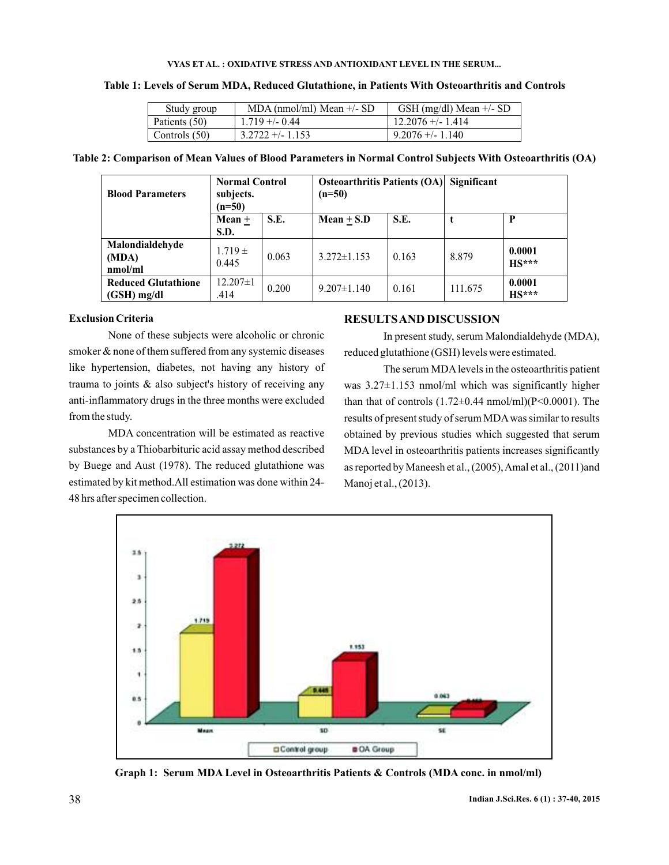#### **VYAS ET AL. : OXIDATIVE STRESS AND ANTIOXIDANT LEVEL IN THE SERUM...**

| Study group   | $MDA$ (nmol/ml) Mean $+/- SD$ | GSH (mg/dl) Mean $+/-$ SD |
|---------------|-------------------------------|---------------------------|
| Patients (50) | $1.719 + -0.44$               | $12.2076 + - 1.414$       |
| Controls (50) | $3.2722 + - 1.153$            | $9.2076 + - 1.140$        |

#### **Table 1: Levels of Serum MDA, Reduced Glutathione, in Patients With Osteoarthritis and Controls**

### **Table 2: Comparison of Mean Values of Blood Parameters in Normal Control Subjects With Osteoarthritis (OA)**

| <b>Blood Parameters</b>                   | <b>Normal Control</b><br>subjects.<br>$(n=50)$ |       | <b>Osteoarthritis Patients (OA)</b><br>$(n=50)$ |       | Significant |                   |
|-------------------------------------------|------------------------------------------------|-------|-------------------------------------------------|-------|-------------|-------------------|
|                                           | $Mean +$<br>S.D.                               | S.E.  | Mean $\pm$ S.D                                  | S.E.  |             | P                 |
| Malondialdehyde<br>(MDA)<br>nmol/ml       | $1.719 \pm$<br>0.445                           | 0.063 | $3.272 \pm 1.153$                               | 0.163 | 8.879       | 0.0001<br>$HS***$ |
| <b>Reduced Glutathione</b><br>(GSH) mg/dl | $12.207 \pm 1$<br>.414                         | 0.200 | $9.207 \pm 1.140$                               | 0.161 | 111.675     | 0.0001<br>$HS***$ |

### **Exclusion Criteria**

None of these subjects were alcoholic or chronic smoker & none of them suffered from any systemic diseases like hypertension, diabetes, not having any history of trauma to joints & also subject's history of receiving any anti-inflammatory drugs in the three months were excluded from the study.

MDA concentration will be estimated as reactive substances by a Thiobarbituric acid assay method described by Buege and Aust (1978). The reduced glutathione was estimated by kit method.All estimation was done within 24- 48 hrs after specimen collection.

### **RESULTSAND DISCUSSION**

In present study, serum Malondialdehyde (MDA), reduced glutathione (GSH) levels were estimated.

The serum MDAlevels in the osteoarthritis patient was 3.27±1.153 nmol/ml which was significantly higher than that of controls  $(1.72\pm0.44 \text{ nmol/ml})(P<0.0001)$ . The results of present study of serum MDAwas similar to results obtained by previous studies which suggested that serum MDA level in osteoarthritis patients increases significantly as reported by Maneesh et al., (2005),Amal et al., (2011)and Manoj et al., (2013).



**Graph 1: Serum MDA Level in Osteoarthritis Patients & Controls (MDA conc. in nmol/ml)**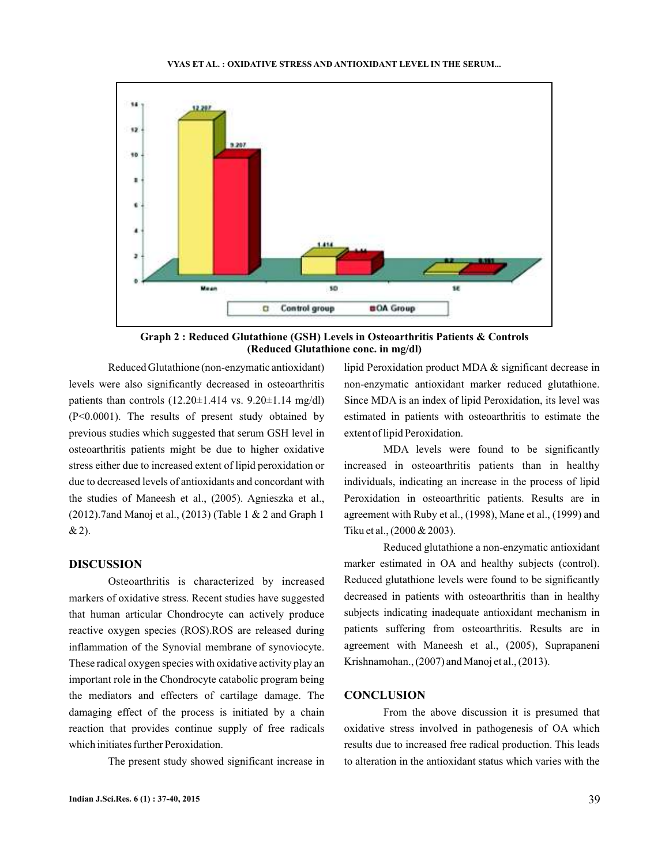

**Graph 2 : Reduced Glutathione (GSH) Levels in Osteoarthritis Patients & Controls (Reduced Glutathione conc. in mg/dl)**

Reduced Glutathione (non-enzymatic antioxidant) levels were also significantly decreased in osteoarthritis patients than controls  $(12.20\pm1.414 \text{ vs. } 9.20\pm1.14 \text{ mg/dl})$ (P<0.0001). The results of present study obtained by previous studies which suggested that serum GSH level in osteoarthritis patients might be due to higher oxidative stress either due to increased extent of lipid peroxidation or due to decreased levels of antioxidants and concordant with the studies of Maneesh et al., (2005). Agnieszka et al., (2012).7and Manoj et al., (2013) (Table 1 & 2 and Graph 1 & 2).

#### **DISCUSSION**

Osteoarthritis is characterized by increased markers of oxidative stress. Recent studies have suggested that human articular Chondrocyte can actively produce reactive oxygen species (ROS).ROS are released during inflammation of the Synovial membrane of synoviocyte. These radical oxygen species with oxidative activity play an important role in the Chondrocyte catabolic program being the mediators and effecters of cartilage damage. The damaging effect of the process is initiated by a chain reaction that provides continue supply of free radicals which initiates further Peroxidation.

The present study showed significant increase in

**Indian J.Sci.Res. 6 (1) : 37-40, 2015** 39

lipid Peroxidation product MDA & significant decrease in non-enzymatic antioxidant marker reduced glutathione. Since MDA is an index of lipid Peroxidation, its level was estimated in patients with osteoarthritis to estimate the extent of lipid Peroxidation.

MDA levels were found to be significantly increased in osteoarthritis patients than in healthy individuals, indicating an increase in the process of lipid Peroxidation in osteoarthritic patients. Results are in agreement with Ruby et al., (1998), Mane et al., (1999) and Tiku et al., (2000 & 2003).

Reduced glutathione a non-enzymatic antioxidant marker estimated in OA and healthy subjects (control). Reduced glutathione levels were found to be significantly decreased in patients with osteoarthritis than in healthy subjects indicating inadequate antioxidant mechanism in patients suffering from osteoarthritis. Results are in agreement with Maneesh et al., (2005), Suprapaneni Krishnamohan., (2007) and Manoj et al., (2013).

### **CONCLUSION**

From the above discussion it is presumed that oxidative stress involved in pathogenesis of OA which results due to increased free radical production. This leads to alteration in the antioxidant status which varies with the